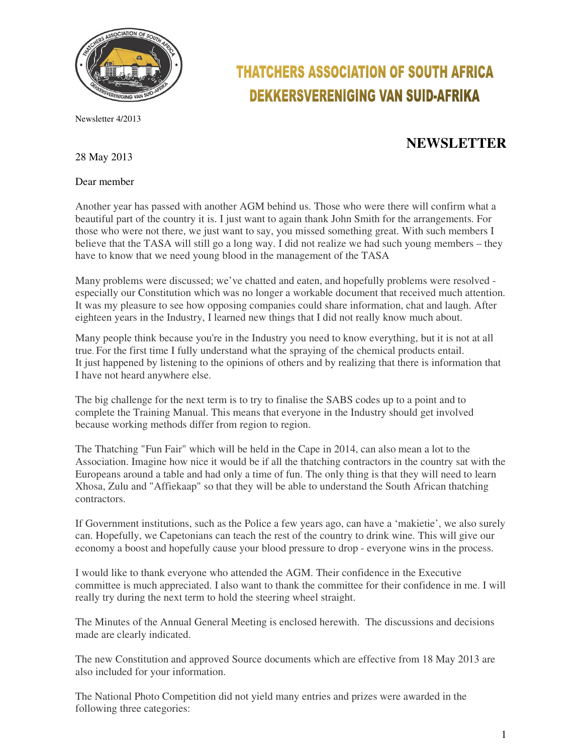

## **THATCHERS ASSOCIATION OF SOUTH AFRICA DEKKERSVERENIGING VAN SUID-AFRIKA**

Newsletter 4/2013

## **NEWSLETTER**

28 May 2013

## Dear member

Another year has passed with another AGM behind us. Those who were there will confirm what a beautiful part of the country it is. I just want to again thank John Smith for the arrangements. For those who were not there, we just want to say, you missed something great. With such members I believe that the TASA will still go a long way. I did not realize we had such young members – they have to know that we need young blood in the management of the TASA

Many problems were discussed; we've chatted and eaten, and hopefully problems were resolved especially our Constitution which was no longer a workable document that received much attention. It was my pleasure to see how opposing companies could share information, chat and laugh. After eighteen years in the Industry, I learned new things that I did not really know much about.

Many people think because you're in the Industry you need to know everything, but it is not at all true. For the first time I fully understand what the spraying of the chemical products entail. It just happened by listening to the opinions of others and by realizing that there is information that I have not heard anywhere else.

The big challenge for the next term is to try to finalise the SABS codes up to a point and to complete the Training Manual. This means that everyone in the Industry should get involved because working methods differ from region to region.

The Thatching "Fun Fair" which will be held in the Cape in 2014, can also mean a lot to the Association. Imagine how nice it would be if all the thatching contractors in the country sat with the Europeans around a table and had only a time of fun. The only thing is that they will need to learn Xhosa, Zulu and "Affiekaap" so that they will be able to understand the South African thatching contractors.

If Government institutions, such as the Police a few years ago, can have a 'makietie', we also surely can. Hopefully, we Capetonians can teach the rest of the country to drink wine. This will give our economy a boost and hopefully cause your blood pressure to drop - everyone wins in the process.

I would like to thank everyone who attended the AGM. Their confidence in the Executive committee is much appreciated. I also want to thank the committee for their confidence in me. I will really try during the next term to hold the steering wheel straight.

The Minutes of the Annual General Meeting is enclosed herewith. The discussions and decisions made are clearly indicated.

The new Constitution and approved Source documents which are effective from 18 May 2013 are also included for your information.

The National Photo Competition did not yield many entries and prizes were awarded in the following three categories: